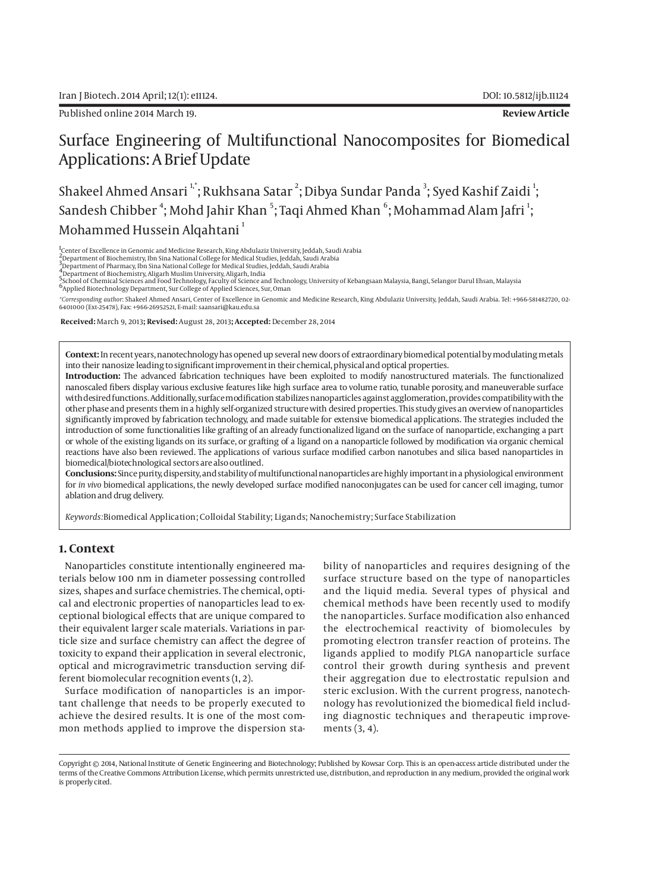Published online 2014 March 19. **Review Article**

# Surface Engineering of Multifunctional Nanocomposites for Biomedical Applications: A Brief Update

Shakeel Ahmed Ansari  $^{\text{1,*}}$ ; Rukhsana Satar  $^{\text{2}}$ ; Dibya Sundar Panda  $^{\text{3}}$ ; Syed Kashif Zaidi  $^{\text{1}}$ ; Sandesh Chibber  $\overset{4}{\cdot}$ ; Mohd Jahir Khan  $\overset{5}{\cdot}$ ; Taqi Ahmed Khan  $\overset{6}{\cdot}$ ; Mohammad Alam Jafri  $\overset{1}{\cdot}$ ; Mohammed Hussein Alqahtani<sup>1</sup>

<sup>1</sup>Center of Excellence in Genomic and Medicine Research, King Abdulaziz University, Jeddah, Saudi Arabia

2<br><sup>2</sup>Department of Biochemistry, Ibn Sina National College for Medical Studies, Jeddah, Saudi Arabia<br><sup>3</sup>Department of Pharmacy, Ibn Sina National College for Medical Studies, Jeddah, Saudi Arabia<br><del>4</del> Department of Biochemi

5<br>- School of Chemical Sciences and Food Technology, Faculty of Science and Technology, University of Kebangsaan Malaysia, Bangi, Selangor Darul Ehsan, Malaysia<br>- Applied Biotechnology Department, Sur College of Applied Sc

*\*Corresponding author*: Shakeel Ahmed Ansari, Center of Excellence in Genomic and Medicine Research, King Abdulaziz University, Jeddah, Saudi Arabia. Tel: +966-581482720, 02- 6401000 (Ext-25478), Fax: +966-26952521, E-mail: saansari@kau.edu.sa

 **Received:** March 9, 2013**; Revised:** August 28, 2013**; Accepted:** December 28, 2014

**Context:** In recent years, nanotechnology has opened up several new doors of extraordinary biomedical potential by modulating metals into their nanosize leading to significant improvement in their chemical, physical and optical properties.

**Introduction:** The advanced fabrication techniques have been exploited to modify nanostructured materials. The functionalized nanoscaled fibers display various exclusive features like high surface area to volume ratio, tunable porosity, and maneuverable surface with desired functions. Additionally, surface modification stabilizes nanoparticles against agglomeration, provides compatibility with the other phase and presents them in a highly self-organized structure with desired properties. This study gives an overview of nanoparticles significantly improved by fabrication technology, and made suitable for extensive biomedical applications. The strategies included the introduction of some functionalities like grafting of an already functionalized ligand on the surface of nanoparticle, exchanging a part or whole of the existing ligands on its surface, or grafting of a ligand on a nanoparticle followed by modification via organic chemical reactions have also been reviewed. The applications of various surface modified carbon nanotubes and silica based nanoparticles in biomedical/biotechnological sectors are also outlined.

**Conclusions:** Since purity, dispersity, and stability of multifunctional nanoparticles are highly important in a physiological environment for *in vivo* biomedical applications, the newly developed surface modified nanoconjugates can be used for cancer cell imaging, tumor ablation and drug delivery.

*Keywords:*Biomedical Application; Colloidal Stability; Ligands; Nanochemistry; Surface Stabilization

#### **1. Context**

Nanoparticles constitute intentionally engineered materials below 100 nm in diameter possessing controlled sizes, shapes and surface chemistries. The chemical, optical and electronic properties of nanoparticles lead to exceptional biological effects that are unique compared to their equivalent larger scale materials. Variations in particle size and surface chemistry can affect the degree of toxicity to expand their application in several electronic, optical and microgravimetric transduction serving different biomolecular recognition events (1, 2).

Surface modification of nanoparticles is an important challenge that needs to be properly executed to achieve the desired results. It is one of the most common methods applied to improve the dispersion stability of nanoparticles and requires designing of the surface structure based on the type of nanoparticles and the liquid media. Several types of physical and chemical methods have been recently used to modify the nanoparticles. Surface modification also enhanced the electrochemical reactivity of biomolecules by promoting electron transfer reaction of proteins. The ligands applied to modify PLGA nanoparticle surface control their growth during synthesis and prevent their aggregation due to electrostatic repulsion and steric exclusion. With the current progress, nanotechnology has revolutionized the biomedical field including diagnostic techniques and therapeutic improvements (3, 4).

Copyright © 2014, National Institute of Genetic Engineering and Biotechnology; Published by Kowsar Corp. This is an open-access article distributed under the terms of the Creative Commons Attribution License, which permits unrestricted use, distribution, and reproduction in any medium, provided the original work is properly cited.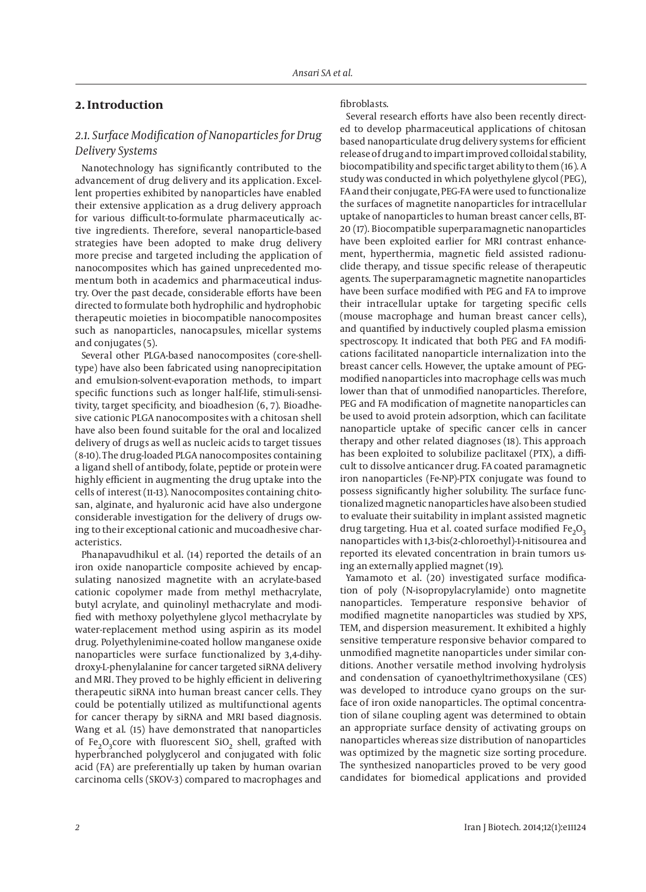## **2. Introduction**

## *2.1. Surface Modification of Nanoparticles for Drug Delivery Systems*

Nanotechnology has significantly contributed to the advancement of drug delivery and its application. Excellent properties exhibited by nanoparticles have enabled their extensive application as a drug delivery approach for various difficult-to-formulate pharmaceutically active ingredients. Therefore, several nanoparticle-based strategies have been adopted to make drug delivery more precise and targeted including the application of nanocomposites which has gained unprecedented momentum both in academics and pharmaceutical industry. Over the past decade, considerable efforts have been directed to formulate both hydrophilic and hydrophobic therapeutic moieties in biocompatible nanocomposites such as nanoparticles, nanocapsules, micellar systems and conjugates (5).

Several other PLGA-based nanocomposites (core-shelltype) have also been fabricated using nanoprecipitation and emulsion-solvent-evaporation methods, to impart specific functions such as longer half-life, stimuli-sensitivity, target specificity, and bioadhesion (6, 7). Bioadhesive cationic PLGA nanocomposites with a chitosan shell have also been found suitable for the oral and localized delivery of drugs as well as nucleic acids to target tissues (8-10). The drug-loaded PLGA nanocomposites containing a ligand shell of antibody, folate, peptide or protein were highly efficient in augmenting the drug uptake into the cells of interest (11-13). Nanocomposites containing chitosan, alginate, and hyaluronic acid have also undergone considerable investigation for the delivery of drugs owing to their exceptional cationic and mucoadhesive characteristics.

Phanapavudhikul et al. (14) reported the details of an iron oxide nanoparticle composite achieved by encapsulating nanosized magnetite with an acrylate-based cationic copolymer made from methyl methacrylate, butyl acrylate, and quinolinyl methacrylate and modified with methoxy polyethylene glycol methacrylate by water-replacement method using aspirin as its model drug. Polyethylenimine-coated hollow manganese oxide nanoparticles were surface functionalized by 3,4-dihydroxy-L-phenylalanine for cancer targeted siRNA delivery and MRI. They proved to be highly efficient in delivering therapeutic siRNA into human breast cancer cells. They could be potentially utilized as multifunctional agents for cancer therapy by siRNA and MRI based diagnosis. Wang et al. (15) have demonstrated that nanoparticles of Fe<sub>2</sub>O<sub>3</sub>core with fluorescent SiO<sub>2</sub> shell, grafted with hyperbranched polyglycerol and conjugated with folic acid (FA) are preferentially up taken by human ovarian carcinoma cells (SKOV-3) compared to macrophages and fibroblasts.

Several research efforts have also been recently directed to develop pharmaceutical applications of chitosan based nanoparticulate drug delivery systems for efficient release of drug and to impart improved colloidal stability, biocompatibility and specific target ability to them (16). A study was conducted in which polyethylene glycol (PEG), FA and their conjugate, PEG-FA were used to functionalize the surfaces of magnetite nanoparticles for intracellular uptake of nanoparticles to human breast cancer cells, BT-20 (17). Biocompatible superparamagnetic nanoparticles have been exploited earlier for MRI contrast enhancement, hyperthermia, magnetic field assisted radionuclide therapy, and tissue specific release of therapeutic agents. The superparamagnetic magnetite nanoparticles have been surface modified with PEG and FA to improve their intracellular uptake for targeting specific cells (mouse macrophage and human breast cancer cells), and quantified by inductively coupled plasma emission spectroscopy. It indicated that both PEG and FA modifications facilitated nanoparticle internalization into the breast cancer cells. However, the uptake amount of PEGmodified nanoparticles into macrophage cells was much lower than that of unmodified nanoparticles. Therefore, PEG and FA modification of magnetite nanoparticles can be used to avoid protein adsorption, which can facilitate nanoparticle uptake of specific cancer cells in cancer therapy and other related diagnoses (18). This approach has been exploited to solubilize paclitaxel (PTX), a difficult to dissolve anticancer drug. FA coated paramagnetic iron nanoparticles (Fe-NP)-PTX conjugate was found to possess significantly higher solubility. The surface functionalized magnetic nanoparticles have also been studied to evaluate their suitability in implant assisted magnetic drug targeting. Hua et al. coated surface modified  $Fe<sub>2</sub>O<sub>3</sub>$ nanoparticles with 1,3-bis(2-chloroethyl)-1-nitisourea and reported its elevated concentration in brain tumors using an externally applied magnet (19).

Yamamoto et al. (20) investigated surface modification of poly (N-isopropylacrylamide) onto magnetite nanoparticles. Temperature responsive behavior of modified magnetite nanoparticles was studied by XPS, TEM, and dispersion measurement. It exhibited a highly sensitive temperature responsive behavior compared to unmodified magnetite nanoparticles under similar conditions. Another versatile method involving hydrolysis and condensation of cyanoethyltrimethoxysilane (CES) was developed to introduce cyano groups on the surface of iron oxide nanoparticles. The optimal concentration of silane coupling agent was determined to obtain an appropriate surface density of activating groups on nanoparticles whereas size distribution of nanoparticles was optimized by the magnetic size sorting procedure. The synthesized nanoparticles proved to be very good candidates for biomedical applications and provided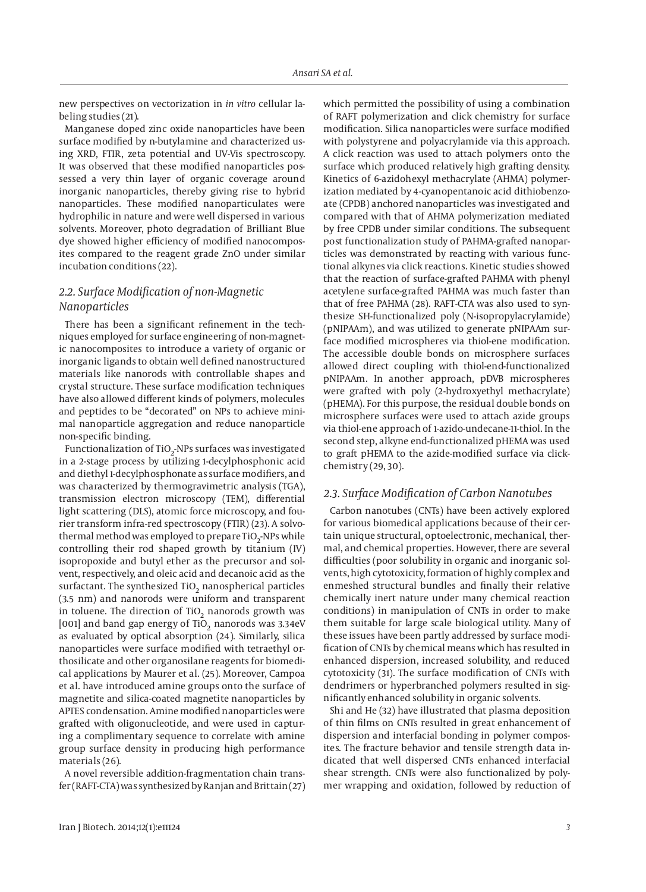new perspectives on vectorization in *in vitro* cellular labeling studies (21).

Manganese doped zinc oxide nanoparticles have been surface modified by n-butylamine and characterized using XRD, FTIR, zeta potential and UV-Vis spectroscopy. It was observed that these modified nanoparticles possessed a very thin layer of organic coverage around inorganic nanoparticles, thereby giving rise to hybrid nanoparticles. These modified nanoparticulates were hydrophilic in nature and were well dispersed in various solvents. Moreover, photo degradation of Brilliant Blue dye showed higher efficiency of modified nanocomposites compared to the reagent grade ZnO under similar incubation conditions (22).

# *2.2. Surface Modification of non-Magnetic Nanoparticles*

There has been a significant refinement in the techniques employed for surface engineering of non-magnetic nanocomposites to introduce a variety of organic or inorganic ligands to obtain well defined nanostructured materials like nanorods with controllable shapes and crystal structure. These surface modification techniques have also allowed different kinds of polymers, molecules and peptides to be "decorated" on NPs to achieve minimal nanoparticle aggregation and reduce nanoparticle non-specific binding.

Functionalization of TiO<sub>2</sub>-NPs surfaces was investigated in a 2-stage process by utilizing 1-decylphosphonic acid and diethyl 1-decylphosphonate as surface modifiers, and was characterized by thermogravimetric analysis (TGA), transmission electron microscopy (TEM), differential light scattering (DLS), atomic force microscopy, and fourier transform infra-red spectroscopy (FTIR) (23). A solvothermal method was employed to prepare TiO<sub>2</sub>-NPs while controlling their rod shaped growth by titanium (IV) isopropoxide and butyl ether as the precursor and solvent, respectively, and oleic acid and decanoic acid as the surfactant. The synthesized TiO<sub>2</sub> nanospherical particles (3.5 nm) and nanorods were uniform and transparent in toluene. The direction of  $TiO<sub>2</sub>$  nanorods growth was [001] and band gap energy of  $TiO<sub>2</sub>$  nanorods was 3.34eV as evaluated by optical absorption (24). Similarly, silica nanoparticles were surface modified with tetraethyl orthosilicate and other organosilane reagents for biomedical applications by Maurer et al. (25). Moreover, Campoa et al. have introduced amine groups onto the surface of magnetite and silica-coated magnetite nanoparticles by APTES condensation. Amine modified nanoparticles were grafted with oligonucleotide, and were used in capturing a complimentary sequence to correlate with amine group surface density in producing high performance materials (26).

A novel reversible addition-fragmentation chain transfer (RAFT-CTA) was synthesized by Ranjan and Brittain (27) which permitted the possibility of using a combination of RAFT polymerization and click chemistry for surface modification. Silica nanoparticles were surface modified with polystyrene and polyacrylamide via this approach. A click reaction was used to attach polymers onto the surface which produced relatively high grafting density. Kinetics of 6-azidohexyl methacrylate (AHMA) polymerization mediated by 4-cyanopentanoic acid dithiobenzoate (CPDB) anchored nanoparticles was investigated and compared with that of AHMA polymerization mediated by free CPDB under similar conditions. The subsequent post functionalization study of PAHMA-grafted nanoparticles was demonstrated by reacting with various functional alkynes via click reactions. Kinetic studies showed that the reaction of surface-grafted PAHMA with phenyl acetylene surface-grafted PAHMA was much faster than that of free PAHMA (28). RAFT-CTA was also used to synthesize SH-functionalized poly (N-isopropylacrylamide) (pNIPAAm), and was utilized to generate pNIPAAm surface modified microspheres via thiol-ene modification. The accessible double bonds on microsphere surfaces allowed direct coupling with thiol-end-functionalized pNIPAAm. In another approach, pDVB microspheres were grafted with poly (2-hydroxyethyl methacrylate) (pHEMA). For this purpose, the residual double bonds on microsphere surfaces were used to attach azide groups via thiol-ene approach of 1-azido-undecane-11-thiol. In the second step, alkyne end-functionalized pHEMA was used to graft pHEMA to the azide-modified surface via clickchemistry (29, 30).

#### *2.3. Surface Modification of Carbon Nanotubes*

Carbon nanotubes (CNTs) have been actively explored for various biomedical applications because of their certain unique structural, optoelectronic, mechanical, thermal, and chemical properties. However, there are several difficulties (poor solubility in organic and inorganic solvents, high cytotoxicity, formation of highly complex and enmeshed structural bundles and finally their relative chemically inert nature under many chemical reaction conditions) in manipulation of CNTs in order to make them suitable for large scale biological utility. Many of these issues have been partly addressed by surface modification of CNTs by chemical means which has resulted in enhanced dispersion, increased solubility, and reduced cytotoxicity (31). The surface modification of CNTs with dendrimers or hyperbranched polymers resulted in significantly enhanced solubility in organic solvents.

Shi and He (32) have illustrated that plasma deposition of thin films on CNTs resulted in great enhancement of dispersion and interfacial bonding in polymer composites. The fracture behavior and tensile strength data indicated that well dispersed CNTs enhanced interfacial shear strength. CNTs were also functionalized by polymer wrapping and oxidation, followed by reduction of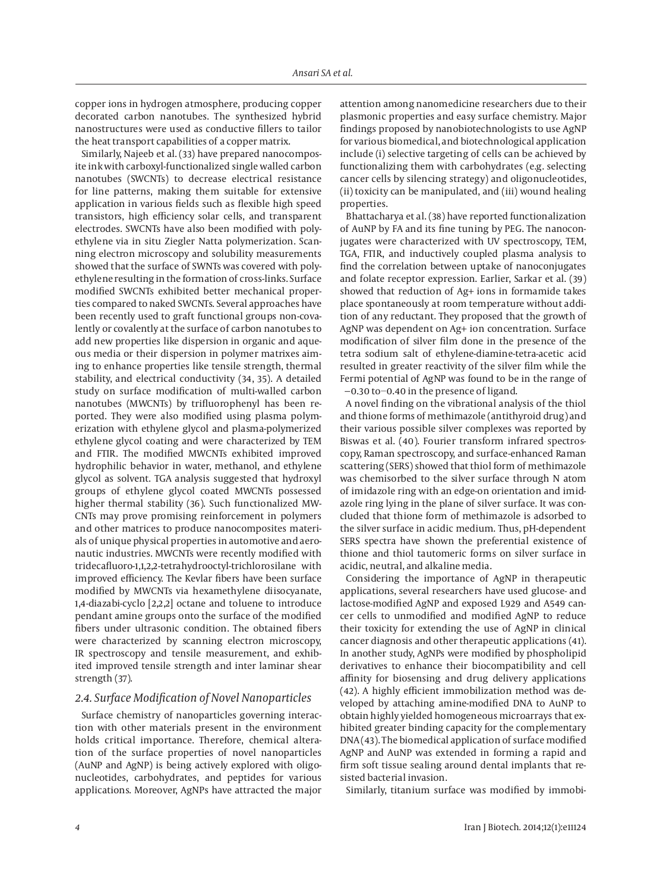copper ions in hydrogen atmosphere, producing copper decorated carbon nanotubes. The synthesized hybrid nanostructures were used as conductive fillers to tailor the heat transport capabilities of a copper matrix.

Similarly, Najeeb et al. (33) have prepared nanocomposite ink with carboxyl-functionalized single walled carbon nanotubes (SWCNTs) to decrease electrical resistance for line patterns, making them suitable for extensive application in various fields such as flexible high speed transistors, high efficiency solar cells, and transparent electrodes. SWCNTs have also been modified with polyethylene via in situ Ziegler Natta polymerization. Scanning electron microscopy and solubility measurements showed that the surface of SWNTs was covered with polyethylene resulting in the formation of cross-links. Surface modified SWCNTs exhibited better mechanical properties compared to naked SWCNTs. Several approaches have been recently used to graft functional groups non-covalently or covalently at the surface of carbon nanotubes to add new properties like dispersion in organic and aqueous media or their dispersion in polymer matrixes aiming to enhance properties like tensile strength, thermal stability, and electrical conductivity (34, 35). A detailed study on surface modification of multi-walled carbon nanotubes (MWCNTs) by trifluorophenyl has been reported. They were also modified using plasma polymerization with ethylene glycol and plasma-polymerized ethylene glycol coating and were characterized by TEM and FTIR. The modified MWCNTs exhibited improved hydrophilic behavior in water, methanol, and ethylene glycol as solvent. TGA analysis suggested that hydroxyl groups of ethylene glycol coated MWCNTs possessed higher thermal stability (36). Such functionalized MW-CNTs may prove promising reinforcement in polymers and other matrices to produce nanocomposites materials of unique physical properties in automotive and aeronautic industries. MWCNTs were recently modified with tridecafluoro-1,1,2,2-tetrahydrooctyl-trichlorosilane with improved efficiency. The Kevlar fibers have been surface modified by MWCNTs via hexamethylene diisocyanate, 1,4-diazabi-cyclo [2,2,2] octane and toluene to introduce pendant amine groups onto the surface of the modified fibers under ultrasonic condition. The obtained fibers were characterized by scanning electron microscopy, IR spectroscopy and tensile measurement, and exhibited improved tensile strength and inter laminar shear strength (37).

#### *2.4. Surface Modification of Novel Nanoparticles*

Surface chemistry of nanoparticles governing interaction with other materials present in the environment holds critical importance. Therefore, chemical alteration of the surface properties of novel nanoparticles (AuNP and AgNP) is being actively explored with oligonucleotides, carbohydrates, and peptides for various applications. Moreover, AgNPs have attracted the major attention among nanomedicine researchers due to their plasmonic properties and easy surface chemistry. Major findings proposed by nanobiotechnologists to use AgNP for various biomedical, and biotechnological application include (i) selective targeting of cells can be achieved by functionalizing them with carbohydrates (e.g. selecting cancer cells by silencing strategy) and oligonucleotides, (ii) toxicity can be manipulated, and (iii) wound healing properties.

Bhattacharya et al. (38) have reported functionalization of AuNP by FA and its fine tuning by PEG. The nanoconjugates were characterized with UV spectroscopy, TEM, TGA, FTIR, and inductively coupled plasma analysis to find the correlation between uptake of nanoconjugates and folate receptor expression. Earlier, Sarkar et al. (39) showed that reduction of Ag+ ions in formamide takes place spontaneously at room temperature without addition of any reductant. They proposed that the growth of AgNP was dependent on Ag+ ion concentration. Surface modification of silver film done in the presence of the tetra sodium salt of ethylene-diamine-tetra-acetic acid resulted in greater reactivity of the silver film while the Fermi potential of AgNP was found to be in the range of −0.30 to−0.40 in the presence of ligand.

A novel finding on the vibrational analysis of the thiol and thione forms of methimazole (antithyroid drug) and their various possible silver complexes was reported by Biswas et al. (40). Fourier transform infrared spectroscopy, Raman spectroscopy, and surface-enhanced Raman scattering (SERS) showed that thiol form of methimazole was chemisorbed to the silver surface through N atom of imidazole ring with an edge-on orientation and imidazole ring lying in the plane of silver surface. It was concluded that thione form of methimazole is adsorbed to the silver surface in acidic medium. Thus, pH-dependent SERS spectra have shown the preferential existence of thione and thiol tautomeric forms on silver surface in acidic, neutral, and alkaline media.

Considering the importance of AgNP in therapeutic applications, several researchers have used glucose- and lactose-modified AgNP and exposed L929 and A549 cancer cells to unmodified and modified AgNP to reduce their toxicity for extending the use of AgNP in clinical cancer diagnosis and other therapeutic applications (41). In another study, AgNPs were modified by phospholipid derivatives to enhance their biocompatibility and cell affinity for biosensing and drug delivery applications (42). A highly efficient immobilization method was developed by attaching amine-modified DNA to AuNP to obtain highly yielded homogeneous microarrays that exhibited greater binding capacity for the complementary DNA (43). The biomedical application of surface modified AgNP and AuNP was extended in forming a rapid and firm soft tissue sealing around dental implants that resisted bacterial invasion.

Similarly, titanium surface was modified by immobi-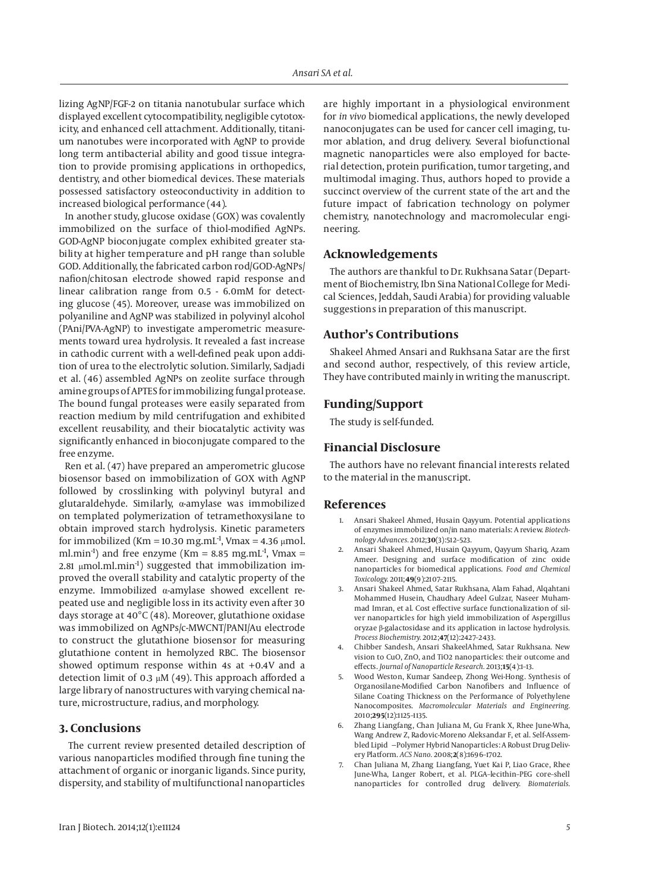lizing AgNP/FGF-2 on titania nanotubular surface which displayed excellent cytocompatibility, negligible cytotoxicity, and enhanced cell attachment. Additionally, titanium nanotubes were incorporated with AgNP to provide long term antibacterial ability and good tissue integration to provide promising applications in orthopedics, dentistry, and other biomedical devices. These materials possessed satisfactory osteoconductivity in addition to increased biological performance (44).

In another study, glucose oxidase (GOX) was covalently immobilized on the surface of thiol-modified AgNPs. GOD-AgNP bioconjugate complex exhibited greater stability at higher temperature and pH range than soluble GOD. Additionally, the fabricated carbon rod/GOD-AgNPs/ nafion/chitosan electrode showed rapid response and linear calibration range from 0.5 - 6.0mM for detecting glucose (45). Moreover, urease was immobilized on polyaniline and AgNP was stabilized in polyvinyl alcohol (PAni/PVA-AgNP) to investigate amperometric measurements toward urea hydrolysis. It revealed a fast increase in cathodic current with a well-defined peak upon addition of urea to the electrolytic solution. Similarly, Sadjadi et al. (46) assembled AgNPs on zeolite surface through amine groups of APTES for immobilizing fungal protease. The bound fungal proteases were easily separated from reaction medium by mild centrifugation and exhibited excellent reusability, and their biocatalytic activity was significantly enhanced in bioconjugate compared to the free enzyme.

Ren et al. (47) have prepared an amperometric glucose biosensor based on immobilization of GOX with AgNP followed by crosslinking with polyvinyl butyral and glutaraldehyde. Similarly, α-amylase was immobilized on templated polymerization of tetramethoxysilane to obtain improved starch hydrolysis. Kinetic parameters for immobilized (Km = 10.30 mg.mL<sup>-1</sup>, Vmax =  $4.36 \mu$ mol.) ml.min<sup>-1</sup>) and free enzyme (Km = 8.85 mg.mL<sup>-1</sup>, Vmax = 2.81  $μ$ mol.ml.min<sup>-1</sup>) suggested that immobilization improved the overall stability and catalytic property of the enzyme. Immobilized α-amylase showed excellent repeated use and negligible loss in its activity even after 30 days storage at 40°C (48). Moreover, glutathione oxidase was immobilized on AgNPs/c-MWCNT/PANI/Au electrode to construct the glutathione biosensor for measuring glutathione content in hemolyzed RBC. The biosensor showed optimum response within 4s at +0.4V and a detection limit of 0.3 μM (49). This approach afforded a large library of nanostructures with varying chemical nature, microstructure, radius, and morphology.

#### **3. Conclusions**

 The current review presented detailed description of various nanoparticles modified through fine tuning the attachment of organic or inorganic ligands. Since purity, dispersity, and stability of multifunctional nanoparticles

are highly important in a physiological environment for *in vivo* biomedical applications, the newly developed nanoconjugates can be used for cancer cell imaging, tumor ablation, and drug delivery. Several biofunctional magnetic nanoparticles were also employed for bacterial detection, protein purification, tumor targeting, and multimodal imaging. Thus, authors hoped to provide a succinct overview of the current state of the art and the future impact of fabrication technology on polymer chemistry, nanotechnology and macromolecular engineering.

#### **Acknowledgements**

The authors are thankful to Dr. Rukhsana Satar (Department of Biochemistry, Ibn Sina National College for Medical Sciences, Jeddah, Saudi Arabia) for providing valuable suggestions in preparation of this manuscript.

## **Author's Contributions**

Shakeel Ahmed Ansari and Rukhsana Satar are the first and second author, respectively, of this review article, They have contributed mainly in writing the manuscript.

#### **Funding/Support**

The study is self-funded.

### **Financial Disclosure**

The authors have no relevant financial interests related to the material in the manuscript.

#### **References**

- 1. Ansari Shakeel Ahmed, Husain Qayyum. Potential applications of enzymes immobilized on/in nano materials: A review. *Biotechnology Advances.* 2012;**30**(3):512–523.
- 2. Ansari Shakeel Ahmed, Husain Qayyum, Qayyum Shariq, Azam Ameer. Designing and surface modification of zinc oxide nanoparticles for biomedical applications. *Food and Chemical Toxicology.* 2011;**49**(9):2107–2115.
- 3. Ansari Shakeel Ahmed, Satar Rukhsana, Alam Fahad, Alqahtani Mohammed Husein, Chaudhary Adeel Gulzar, Naseer Muhammad Imran, et al. Cost effective surface functionalization of silver nanoparticles for high yield immobilization of Aspergillus oryzae β-galactosidase and its application in lactose hydrolysis. *Process Biochemistry.* 2012;**47**(12):2427–2433.
- 4. Chibber Sandesh, Ansari ShakeelAhmed, Satar Rukhsana. New vision to CuO, ZnO, and TiO2 nanoparticles: their outcome and effects. *Journal of Nanoparticle Research.* 2013;**15**(4):1–13.
- 5. Wood Weston, Kumar Sandeep, Zhong Wei-Hong. Synthesis of Organosilane-Modified Carbon Nanofibers and Influence of Silane Coating Thickness on the Performance of Polyethylene Nanocomposites. *Macromolecular Materials and Engineering.* 2010;**295**(12):1125–1135.
- Zhang Liangfang, Chan Juliana M, Gu Frank X, Rhee June-Wha, Wang Andrew Z, Radovic-Moreno Aleksandar F, et al. Self-Assembled Lipid−Polymer Hybrid Nanoparticles: A Robust Drug Delivery Platform. *ACS Nano.* 2008;**2**(8):1696–1702.
- 7. Chan Juliana M, Zhang Liangfang, Yuet Kai P, Liao Grace, Rhee June-Wha, Langer Robert, et al. PLGA–lecithin–PEG core–shell nanoparticles for controlled drug delivery. *Biomaterials.*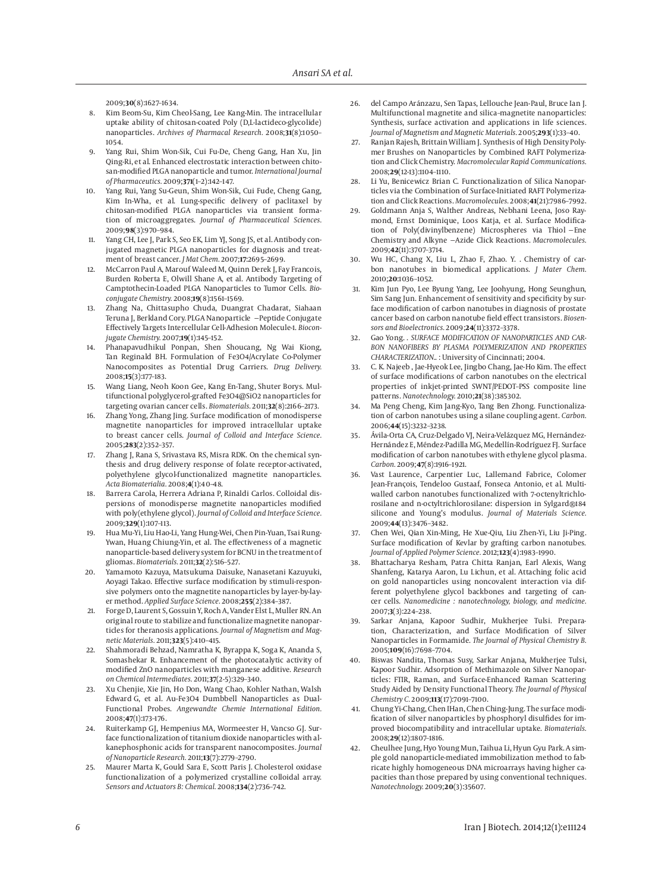2009;**30**(8):1627–1634.

- 8. Kim Beom-Su, Kim Cheol-Sang, Lee Kang-Min. The intracellular uptake ability of chitosan-coated Poly (D,L-lactideco-glycolide) nanoparticles. *Archives of Pharmacal Research.* 2008;**31**(8):1050– 1054.
- 9. Yang Rui, Shim Won-Sik, Cui Fu-De, Cheng Gang, Han Xu, Jin Qing-Ri, et al. Enhanced electrostatic interaction between chitosan-modified PLGA nanoparticle and tumor. *International Journal of Pharmaceutics.* 2009;**371**(1–2):142–147.
- 10. Yang Rui, Yang Su-Geun, Shim Won-Sik, Cui Fude, Cheng Gang, Kim In-Wha, et al. Lung-specific delivery of paclitaxel by chitosan-modified PLGA nanoparticles via transient formation of microaggregates. *Journal of Pharmaceutical Sciences.* 2009;**98**(3):970–984.
- 11. Yang CH, Lee J, Park S, Seo EK, Lim YJ, Song JS, et al. Antibody conjugated magnetic PLGA nanoparticles for diagnosis and treatment of breast cancer. *J Mat Chem.* 2007;**17**:2695–2699.
- 12. McCarron Paul A, Marouf Waleed M, Quinn Derek J, Fay Francois, Burden Roberta E, Olwill Shane A, et al. Antibody Targeting of Camptothecin-Loaded PLGA Nanoparticles to Tumor Cells. *Bioconjugate Chemistry.* 2008;**19**(8):1561–1569.
- 13. Zhang Na, Chittasupho Chuda, Duangrat Chadarat, Siahaan Teruna J, Berkland Cory. PLGA Nanoparticle−Peptide Conjugate Effectively Targets Intercellular Cell-Adhesion Molecule-1. *Bioconjugate Chemistry.* 2007;**19**(1):145–152.
- 14. Phanapavudhikul Ponpan, Shen Shoucang, Ng Wai Kiong, Tan Reginald BH. Formulation of Fe3O4/Acrylate Co-Polymer Nanocomposites as Potential Drug Carriers. *Drug Delivery.* 2008;**15**(3):177–183.
- 15. Wang Liang, Neoh Koon Gee, Kang En-Tang, Shuter Borys. Multifunctional polyglycerol-grafted Fe3O4@SiO2 nanoparticles for targeting ovarian cancer cells. *Biomaterials.* 2011;**32**(8):2166–2173.
- 16. Zhang Yong, Zhang Jing. Surface modification of monodisperse magnetite nanoparticles for improved intracellular uptake to breast cancer cells. *Journal of Colloid and Interface Science.* 2005;**283**(2):352–357.
- 17. Zhang J, Rana S, Srivastava RS, Misra RDK. On the chemical synthesis and drug delivery response of folate receptor-activated, polyethylene glycol-functionalized magnetite nanoparticles. *Acta Biomaterialia.* 2008;**4**(1):40–48.
- 18. Barrera Carola, Herrera Adriana P, Rinaldi Carlos. Colloidal dispersions of monodisperse magnetite nanoparticles modified with poly(ethylene glycol). *Journal of Colloid and Interface Science.* 2009;**329**(1):107–113.
- 19. Hua Mu-Yi, Liu Hao-Li, Yang Hung-Wei, Chen Pin-Yuan, Tsai Rung-Ywan, Huang Chiung-Yin, et al. The effectiveness of a magnetic nanoparticle-based delivery system for BCNU in the treatment of gliomas. *Biomaterials.* 2011;**32**(2):516–527.
- 20. Yamamoto Kazuya, Matsukuma Daisuke, Nanasetani Kazuyuki, Aoyagi Takao. Effective surface modification by stimuli-responsive polymers onto the magnetite nanoparticles by layer-by-layer method. *Applied Surface Science.* 2008;**255**(2):384–387.
- 21. Forge D, Laurent S, Gossuin Y, Roch A, Vander Elst L, Muller RN. An original route to stabilize and functionalize magnetite nanoparticles for theranosis applications. *Journal of Magnetism and Magnetic Materials.* 2011;**323**(5):410–415.
- 22. Shahmoradi Behzad, Namratha K, Byrappa K, Soga K, Ananda S, Somashekar R. Enhancement of the photocatalytic activity of modified ZnO nanoparticles with manganese additive. *Research on Chemical Intermediates.* 2011;**37**(2-5):329–340.
- 23. Xu Chenjie, Xie Jin, Ho Don, Wang Chao, Kohler Nathan, Walsh Edward G, et al. Au–Fe3O4 Dumbbell Nanoparticles as Dual-Functional Probes. *Angewandte Chemie International Edition.* 2008;**47**(1):173–176.
- 24. Ruiterkamp GJ, Hempenius MA, Wormeester H, Vancso GJ. Surface functionalization of titanium dioxide nanoparticles with alkanephosphonic acids for transparent nanocomposites. *Journal of Nanoparticle Research.* 2011;**13**(7):2779–2790.
- 25. Maurer Marta K, Gould Sara E, Scott Paris J. Cholesterol oxidase functionalization of a polymerized crystalline colloidal array. *Sensors and Actuators B: Chemical.* 2008;**134**(2):736–742.
- 26. del Campo Aránzazu, Sen Tapas, Lellouche Jean-Paul, Bruce Ian J. Multifunctional magnetite and silica–magnetite nanoparticles: Synthesis, surface activation and applications in life sciences. *Journal of Magnetism and Magnetic Materials.* 2005;**293**(1):33–40.
- 27. Ranjan Rajesh, Brittain William J. Synthesis of High Density Polymer Brushes on Nanoparticles by Combined RAFT Polymerization and Click Chemistry. *Macromolecular Rapid Communications.* 2008;**29**(12-13):1104–1110.
- Li Yu, Benicewicz Brian C. Functionalization of Silica Nanoparticles via the Combination of Surface-Initiated RAFT Polymerization and Click Reactions. *Macromolecules.* 2008;**41**(21):7986–7992.
- 29. Goldmann Anja S, Walther Andreas, Nebhani Leena, Joso Raymond, Ernst Dominique, Loos Katja, et al. Surface Modification of Poly(divinylbenzene) Microspheres via Thiol−Ene Chemistry and Alkyne−Azide Click Reactions. *Macromolecules.* 2009;**42**(11):3707–3714.
- 30. Wu HC, Chang X, Liu L, Zhao F, Zhao. Y. . Chemistry of carbon nanotubes in biomedical applications. *J Mater Chem.* 2010;**20**:1036–1052.
- 31. Kim Jun Pyo, Lee Byung Yang, Lee Joohyung, Hong Seunghun, Sim Sang Jun. Enhancement of sensitivity and specificity by surface modification of carbon nanotubes in diagnosis of prostate cancer based on carbon nanotube field effect transistors. *Biosensors and Bioelectronics.* 2009;**24**(11):3372–3378.
- Gao Yong. . *SURFACE MODIFICATION OF NANOPARTICLES AND CAR-BON NANOFIBERS BY PLASMA POLYMERIZATION AND PROPERTIES CHARACTERIZATION.*. : University of Cincinnati; 2004.
- 33. C. K. Najeeb , Jae-Hyeok Lee, Jingbo Chang, Jae-Ho Kim. The effect of surface modifications of carbon nanotubes on the electrical properties of inkjet-printed SWNT/PEDOT–PSS composite line patterns. *Nanotechnology.* 2010;**21**(38):385302.
- 34. Ma Peng Cheng, Kim Jang-Kyo, Tang Ben Zhong. Functionalization of carbon nanotubes using a silane coupling agent. *Carbon.* 2006;**44**(15):3232–3238.
- 35. Ávila-Orta CA, Cruz-Delgado VJ, Neira-Velázquez MG, Hernández-Hernández E, Méndez-Padilla MG, Medellín-Rodríguez FJ. Surface modification of carbon nanotubes with ethylene glycol plasma. *Carbon.* 2009;**47**(8):1916–1921.
- 36. Vast Laurence, Carpentier Luc, Lallemand Fabrice, Colomer Jean-François, Tendeloo Gustaaf, Fonseca Antonio, et al. Multiwalled carbon nanotubes functionalized with 7-octenyltrichlorosilane and n-octyltrichlorosilane: dispersion in Sylgard®184 silicone and Young's modulus. *Journal of Materials Science.* 2009;**44**(13):3476–3482.
- 37. Chen Wei, Qian Xin-Ming, He Xue-Qiu, Liu Zhen-Yi, Liu Ji-Ping. Surface modification of Kevlar by grafting carbon nanotubes. *Journal of Applied Polymer Science.* 2012;**123**(4):1983–1990.
- 38. Bhattacharya Resham, Patra Chitta Ranjan, Earl Alexis, Wang Shanfeng, Katarya Aaron, Lu Lichun, et al. Attaching folic acid on gold nanoparticles using noncovalent interaction via different polyethylene glycol backbones and targeting of cancer cells. *Nanomedicine : nanotechnology, biology, and medicine.* 2007;**3**(3):224–238.
- Sarkar Anjana, Kapoor Sudhir, Mukherjee Tulsi. Preparation, Characterization, and Surface Modification of Silver Nanoparticles in Formamide. *The Journal of Physical Chemistry B.* 2005;**109**(16):7698–7704.
- 40. Biswas Nandita, Thomas Susy, Sarkar Anjana, Mukherjee Tulsi, Kapoor Sudhir. Adsorption of Methimazole on Silver Nanoparticles: FTIR, Raman, and Surface-Enhanced Raman Scattering Study Aided by Density Functional Theory. *The Journal of Physical Chemistry C.* 2009;**113**(17):7091–7100.
- 41. Chung Yi-Chang, Chen IHan, Chen Ching-Jung. The surface modification of silver nanoparticles by phosphoryl disulfides for improved biocompatibility and intracellular uptake. *Biomaterials.* 2008;**29**(12):1807–1816.
- 42. Cheulhee Jung, Hyo Young Mun, Taihua Li, Hyun Gyu Park. A simple gold nanoparticle-mediated immobilization method to fabricate highly homogeneous DNA microarrays having higher capacities than those prepared by using conventional techniques. *Nanotechnology.* 2009;**20**(3):35607.